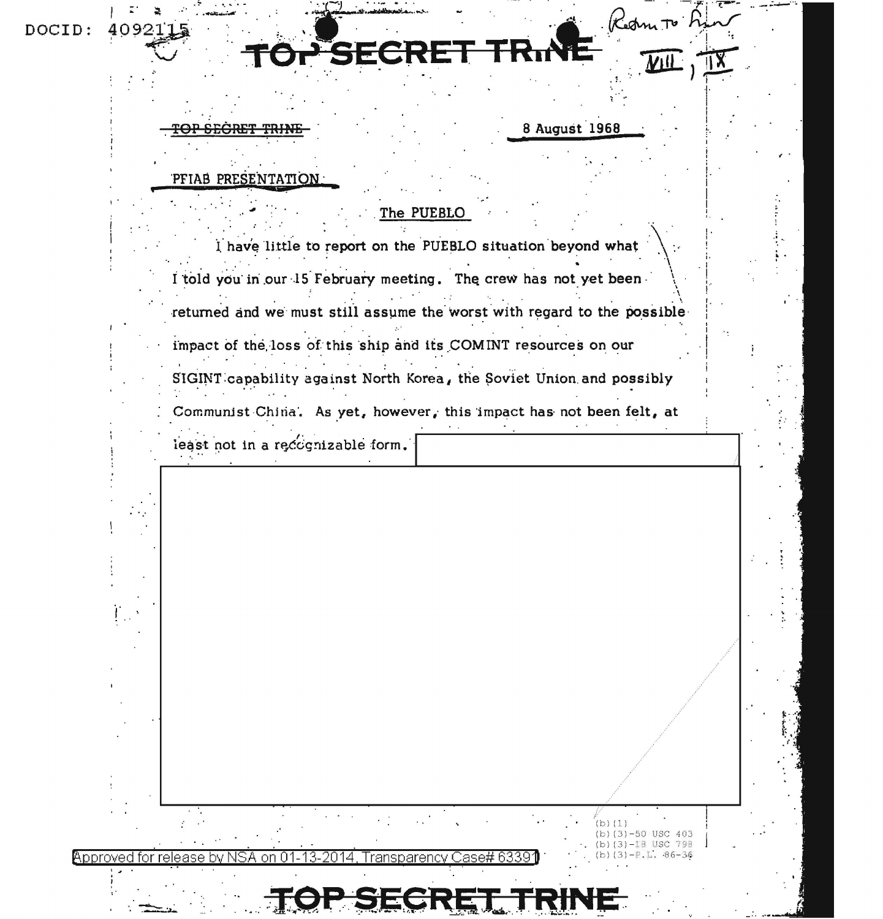| DOCID: | 4092 |
|--------|------|
|        |      |

**SECRET** 

8 August 1968

 $(b) (1)$ 

(b)  $(3) - 50$  USC 403 (b)  $(3) - 1B$  USC 79B

 $(b)(3)-P.L. .86-36$ 

## PFIAB PRESENTATION

## The PUEBLO

I have little to report on the PUEBLO situation beyond what I told you in our 15 February meeting. The crew has not yet been returned and we must still assume the worst with regard to the possible impact of the loss of this ship and its COMINT resources on our

SIGINT capability against North Korea, the Soviet Union and possibly

Communist China. As yet, however, this impact has not been felt, at

least not in a recognizable form.

Approved 2014 ase# 6339 nn Fransparencv